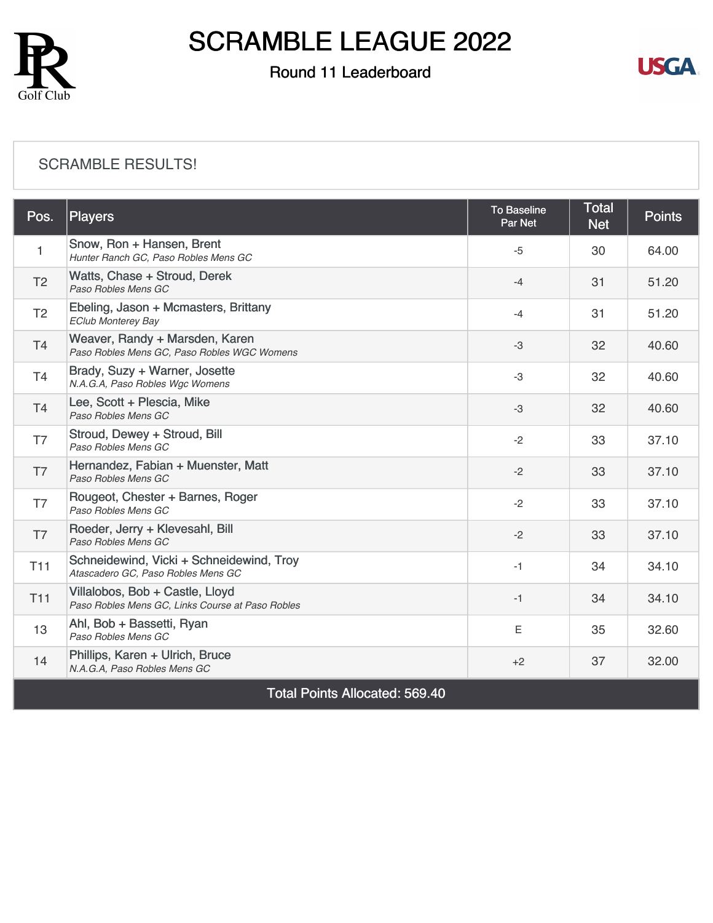

### Round 11 Leaderboard



#### [SCRAMBLE RESULTS!](https://static.golfgenius.com/v2tournaments/8468461275058323125?called_from=&round_index=11)

| Pos.                                  | Players                                                                             | <b>To Baseline</b><br>Par Net | <b>Total</b><br><b>Net</b> | <b>Points</b> |  |  |
|---------------------------------------|-------------------------------------------------------------------------------------|-------------------------------|----------------------------|---------------|--|--|
| $\mathbf{1}$                          | Snow, Ron + Hansen, Brent<br>Hunter Ranch GC, Paso Robles Mens GC                   | $-5$                          | 30                         | 64.00         |  |  |
| T <sub>2</sub>                        | Watts, Chase + Stroud, Derek<br>Paso Robles Mens GC                                 | $-4$                          | 31                         | 51.20         |  |  |
| T <sub>2</sub>                        | Ebeling, Jason + Mcmasters, Brittany<br><b>EClub Monterey Bay</b>                   | $-4$                          | 31                         | 51.20         |  |  |
| T <sub>4</sub>                        | Weaver, Randy + Marsden, Karen<br>Paso Robles Mens GC, Paso Robles WGC Womens       | $-3$                          | 32                         | 40.60         |  |  |
| T <sub>4</sub>                        | Brady, Suzy + Warner, Josette<br>N.A.G.A, Paso Robles Wgc Womens                    | $-3$                          | 32                         | 40.60         |  |  |
| T <sub>4</sub>                        | Lee, Scott + Plescia, Mike<br>Paso Robles Mens GC                                   | $-3$                          | 32                         | 40.60         |  |  |
| T7                                    | Stroud, Dewey + Stroud, Bill<br>Paso Robles Mens GC                                 | $-2$                          | 33                         | 37.10         |  |  |
| T7                                    | Hernandez, Fabian + Muenster, Matt<br>Paso Robles Mens GC                           | $-2$                          | 33                         | 37.10         |  |  |
| T7                                    | Rougeot, Chester + Barnes, Roger<br>Paso Robles Mens GC                             | $-2$                          | 33                         | 37.10         |  |  |
| T7                                    | Roeder, Jerry + Klevesahl, Bill<br>Paso Robles Mens GC                              | $-2$                          | 33                         | 37.10         |  |  |
| <b>T11</b>                            | Schneidewind, Vicki + Schneidewind, Troy<br>Atascadero GC, Paso Robles Mens GC      | $-1$                          | 34                         | 34.10         |  |  |
| <b>T11</b>                            | Villalobos, Bob + Castle, Lloyd<br>Paso Robles Mens GC, Links Course at Paso Robles | $-1$                          | 34                         | 34.10         |  |  |
| 13                                    | Ahl, Bob + Bassetti, Ryan<br>Paso Robles Mens GC                                    | Ε                             | 35                         | 32.60         |  |  |
| 14                                    | Phillips, Karen + Ulrich, Bruce<br>N.A.G.A, Paso Robles Mens GC                     | $+2$                          | 37                         | 32.00         |  |  |
| <b>Total Points Allocated: 569.40</b> |                                                                                     |                               |                            |               |  |  |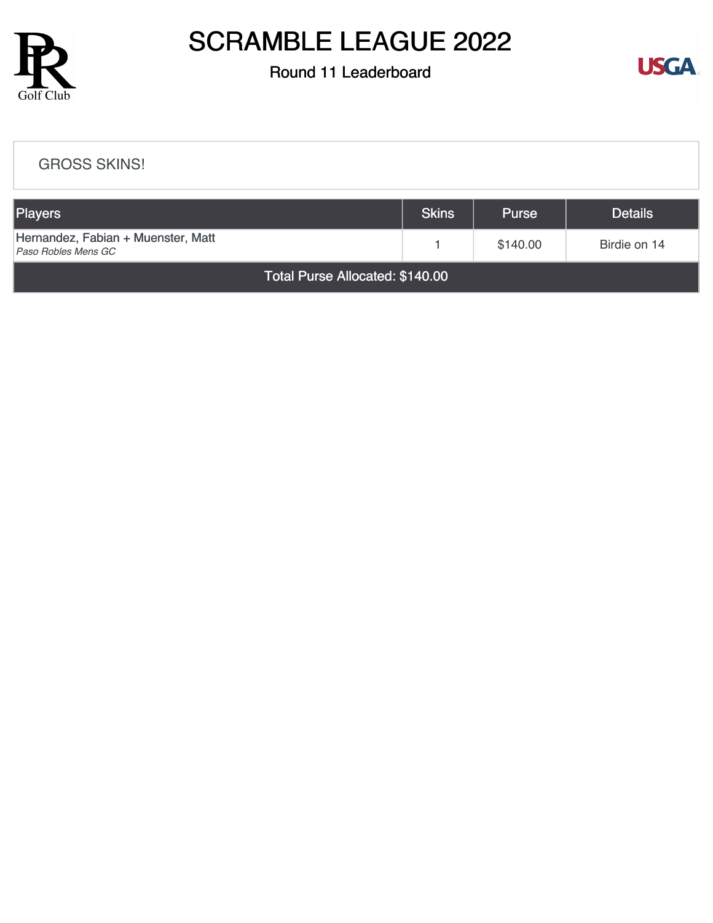

### Round 11 Leaderboard



#### [GROSS SKINS!](https://static.golfgenius.com/v2tournaments/8468461970239045302?called_from=&round_index=11)

| <b>Players</b>                                            |  | <b>Purse</b> | <b>Details</b> |  |  |  |
|-----------------------------------------------------------|--|--------------|----------------|--|--|--|
| Hernandez, Fabian + Muenster, Matt<br>Paso Robles Mens GC |  | \$140.00     | Birdie on 14   |  |  |  |
| Total Purse Allocated: \$140.00                           |  |              |                |  |  |  |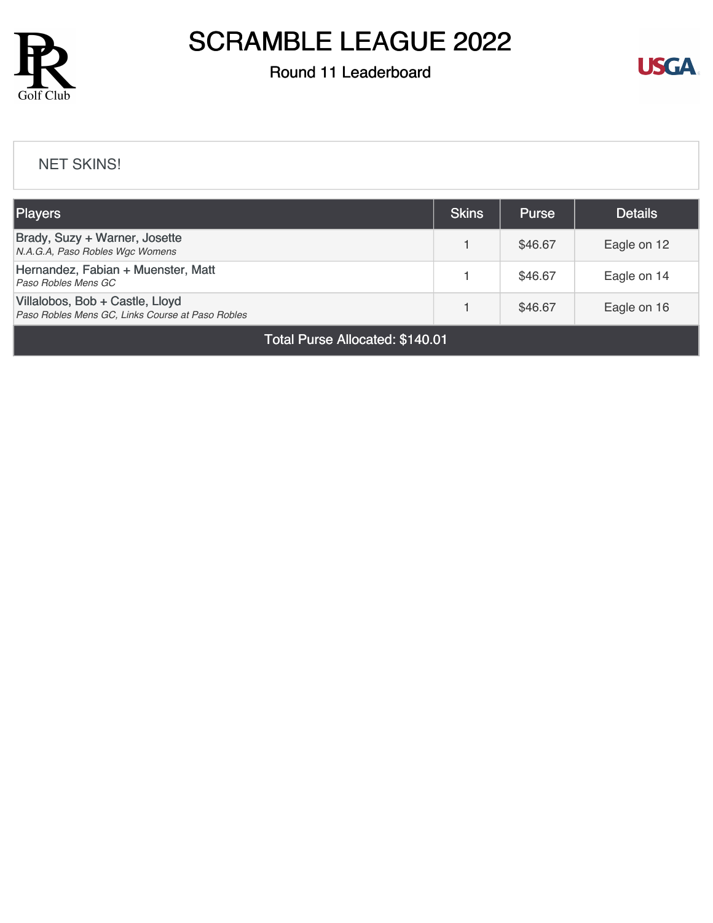

### Round 11 Leaderboard



#### [NET SKINS!](https://static.golfgenius.com/v2tournaments/8468462884429545143?called_from=&round_index=11)

| <b>Players</b>                                                                      | <b>Skins</b> | <b>Purse</b> | <b>Details</b> |  |  |
|-------------------------------------------------------------------------------------|--------------|--------------|----------------|--|--|
| Brady, Suzy + Warner, Josette<br>N.A.G.A. Paso Robles Wgc Womens                    |              | \$46.67      | Eagle on 12    |  |  |
| Hernandez, Fabian + Muenster, Matt<br>Paso Robles Mens GC                           |              | \$46.67      | Eagle on 14    |  |  |
| Villalobos, Bob + Castle, Lloyd<br>Paso Robles Mens GC, Links Course at Paso Robles |              | \$46.67      | Eagle on 16    |  |  |
| <b>Total Purse Allocated: \$140.01</b>                                              |              |              |                |  |  |